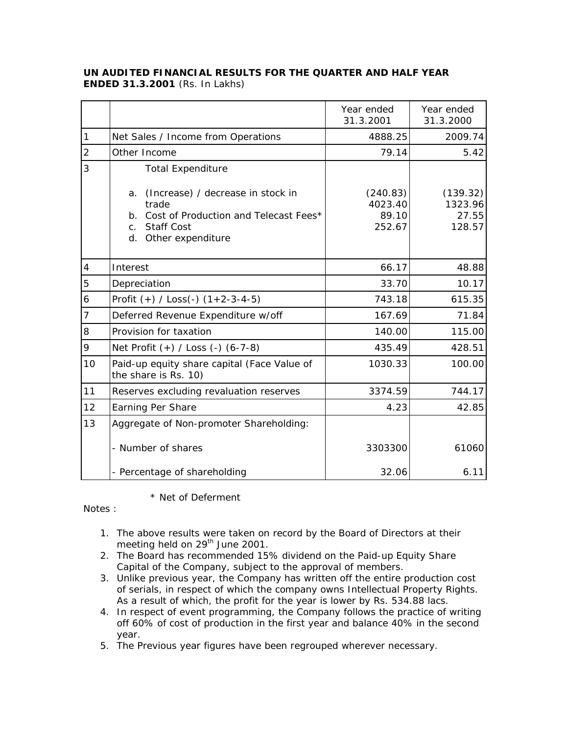## **UN AUDITED FINANCIAL RESULTS FOR THE QUARTER AND HALF YEAR ENDED 31.3.2001** (Rs. In Lakhs)

|                |                                                                                                                                                             | Year ended<br>31.3.2001                | Year ended<br>31.3.2000                |
|----------------|-------------------------------------------------------------------------------------------------------------------------------------------------------------|----------------------------------------|----------------------------------------|
| 1              | Net Sales / Income from Operations                                                                                                                          | 4888.25                                | 2009.74                                |
| $\overline{2}$ | Other Income                                                                                                                                                | 79.14                                  | 5.42                                   |
| 3              | <b>Total Expenditure</b>                                                                                                                                    |                                        |                                        |
|                | (Increase) / decrease in stock in<br>a.<br>trade<br>b. Cost of Production and Telecast Fees*<br><b>Staff Cost</b><br>$C_{\rm{max}}$<br>d. Other expenditure | (240.83)<br>4023.40<br>89.10<br>252.67 | (139.32)<br>1323.96<br>27.55<br>128.57 |
| $\overline{4}$ | Interest                                                                                                                                                    | 66.17                                  | 48.88                                  |
| 5              | Depreciation                                                                                                                                                | 33.70                                  | 10.17                                  |
| 6              | Profit $(+)$ / Loss(-) $(1+2-3-4-5)$                                                                                                                        | 743.18                                 | 615.35                                 |
| 7              | Deferred Revenue Expenditure w/off                                                                                                                          | 167.69                                 | 71.84                                  |
| 8              | Provision for taxation                                                                                                                                      | 140.00                                 | 115.00                                 |
| 9              | Net Profit (+) / Loss (-) (6-7-8)                                                                                                                           | 435.49                                 | 428.51                                 |
| 10             | Paid-up equity share capital (Face Value of<br>the share is Rs. 10)                                                                                         | 1030.33                                | 100.00                                 |
| 11             | Reserves excluding revaluation reserves                                                                                                                     | 3374.59                                | 744.17                                 |
| 12             | Earning Per Share                                                                                                                                           | 4.23                                   | 42.85                                  |
| 13             | Aggregate of Non-promoter Shareholding:                                                                                                                     |                                        |                                        |
|                | - Number of shares                                                                                                                                          | 3303300                                | 61060                                  |
|                | - Percentage of shareholding                                                                                                                                | 32.06                                  | 6.11                                   |

## \* Net of Deferment

Notes :

- 1. The above results were taken on record by the Board of Directors at their meeting held on 29<sup>th</sup> June 2001.
- 2. The Board has recommended 15% dividend on the Paid-up Equity Share Capital of the Company, subject to the approval of members.
- 3. Unlike previous year, the Company has written off the entire production cost of serials, in respect of which the company owns Intellectual Property Rights. As a result of which, the profit for the year is lower by Rs. 534.88 lacs.
- 4. In respect of event programming, the Company follows the practice of writing off 60% of cost of production in the first year and balance 40% in the second year.
- 5. The Previous year figures have been regrouped wherever necessary.